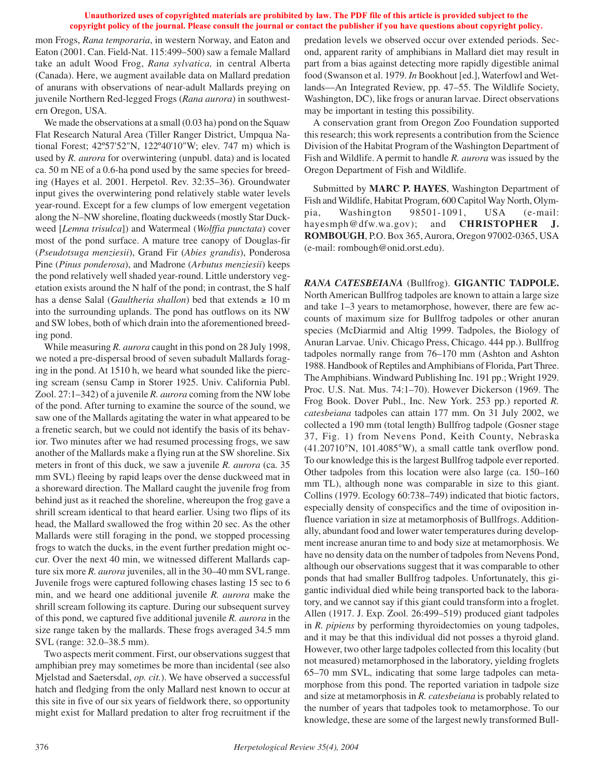## **Unauthorized uses of copyrighted materials are prohibited by law. The PDF file of this article is provided subject to the copyright policy of the journal. Please consult the journal or contact the publisher if you have questions about copyright policy.**

mon Frogs, *Rana temporaria*, in western Norway, and Eaton and Eaton (2001. Can. Field-Nat. 115:499–500) saw a female Mallard take an adult Wood Frog, *Rana sylvatica,* in central Alberta (Canada). Here, we augment available data on Mallard predation of anurans with observations of near-adult Mallards preying on juvenile Northern Red-legged Frogs (*Rana aurora*) in southwestern Oregon, USA.

We made the observations at a small (0.03 ha) pond on the Squaw Flat Research Natural Area (Tiller Ranger District, Umpqua National Forest; 42º57'52"N, 122º40'10"W; elev. 747 m) which is used by *R. aurora* for overwintering (unpubl. data) and is located ca. 50 m NE of a 0.6-ha pond used by the same species for breeding (Hayes et al. 2001. Herpetol. Rev. 32:35–36). Groundwater input gives the overwintering pond relatively stable water levels year-round. Except for a few clumps of low emergent vegetation along the N–NW shoreline, floating duckweeds (mostly Star Duckweed [*Lemna trisulca*]) and Watermeal (*Wolffia punctata*) cover most of the pond surface. A mature tree canopy of Douglas-fir (*Pseudotsuga menziesii*), Grand Fir (*Abies grandis*), Ponderosa Pine (*Pinus ponderosa*), and Madrone (*Arbutus menziesii*) keeps the pond relatively well shaded year-round. Little understory vegetation exists around the N half of the pond; in contrast, the S half has a dense Salal (*Gaultheria shallon*) bed that extends ≥ 10 m into the surrounding uplands. The pond has outflows on its NW and SW lobes, both of which drain into the aforementioned breeding pond.

While measuring *R. aurora* caught in this pond on 28 July 1998, we noted a pre-dispersal brood of seven subadult Mallards foraging in the pond. At 1510 h, we heard what sounded like the piercing scream (sensu Camp in Storer 1925. Univ. California Publ. Zool. 27:1–342) of a juvenile *R. aurora* coming from the NW lobe of the pond. After turning to examine the source of the sound, we saw one of the Mallards agitating the water in what appeared to be a frenetic search, but we could not identify the basis of its behavior. Two minutes after we had resumed processing frogs, we saw another of the Mallards make a flying run at the SW shoreline. Six meters in front of this duck, we saw a juvenile *R. aurora* (ca. 35 mm SVL) fleeing by rapid leaps over the dense duckweed mat in a shoreward direction. The Mallard caught the juvenile frog from behind just as it reached the shoreline, whereupon the frog gave a shrill scream identical to that heard earlier. Using two flips of its head, the Mallard swallowed the frog within 20 sec. As the other Mallards were still foraging in the pond, we stopped processing frogs to watch the ducks, in the event further predation might occur. Over the next 40 min, we witnessed different Mallards capture six more *R. aurora* juveniles, all in the 30–40 mm SVL range. Juvenile frogs were captured following chases lasting 15 sec to 6 min, and we heard one additional juvenile *R. aurora* make the shrill scream following its capture. During our subsequent survey of this pond, we captured five additional juvenile *R. aurora* in the size range taken by the mallards. These frogs averaged 34.5 mm SVL (range: 32.0–38.5 mm).

Two aspects merit comment. First, our observations suggest that amphibian prey may sometimes be more than incidental (see also Mjelstad and Saetersdal, *op. cit.*). We have observed a successful hatch and fledging from the only Mallard nest known to occur at this site in five of our six years of fieldwork there, so opportunity might exist for Mallard predation to alter frog recruitment if the

predation levels we observed occur over extended periods. Second, apparent rarity of amphibians in Mallard diet may result in part from a bias against detecting more rapidly digestible animal food (Swanson et al. 1979. *In* Bookhout [ed.], Waterfowl and Wetlands—An Integrated Review, pp. 47–55. The Wildlife Society, Washington, DC), like frogs or anuran larvae. Direct observations may be important in testing this possibility.

A conservation grant from Oregon Zoo Foundation supported this research; this work represents a contribution from the Science Division of the Habitat Program of the Washington Department of Fish and Wildlife. A permit to handle *R. aurora* was issued by the Oregon Department of Fish and Wildlife.

Submitted by **MARC P. HAYES**, Washington Department of Fish and Wildlife, Habitat Program, 600 Capitol Way North, Olympia, Washington 98501-1091, USA (e-mail: hayesmph@dfw.wa.gov); and **CHRISTOPHER J. ROMBOUGH**, P.O. Box 365, Aurora, Oregon 97002-0365, USA (e-mail: rombough@onid.orst.edu).

*RANA CATESBEIANA* (Bullfrog). **GIGANTIC TADPOLE.** North American Bullfrog tadpoles are known to attain a large size and take 1–3 years to metamorphose, however, there are few accounts of maximum size for Bullfrog tadpoles or other anuran species (McDiarmid and Altig 1999. Tadpoles, the Biology of Anuran Larvae. Univ. Chicago Press, Chicago. 444 pp.). Bullfrog tadpoles normally range from 76–170 mm (Ashton and Ashton 1988. Handbook of Reptiles and Amphibians of Florida, Part Three. The Amphibians. Windward Publishing Inc. 191 pp.; Wright 1929. Proc. U.S. Nat. Mus. 74:1–70). However Dickerson (1969. The Frog Book. Dover Publ., Inc. New York. 253 pp.) reported *R. catesbeiana* tadpoles can attain 177 mm. On 31 July 2002, we collected a 190 mm (total length) Bullfrog tadpole (Gosner stage 37, Fig. 1) from Nevens Pond, Keith County, Nebraska  $(41.20710\text{°N}, 101.4085\text{°W})$ , a small cattle tank overflow pond. To our knowledge this is the largest Bullfrog tadpole ever reported. Other tadpoles from this location were also large (ca. 150–160 mm TL), although none was comparable in size to this giant. Collins (1979. Ecology 60:738–749) indicated that biotic factors, especially density of conspecifics and the time of oviposition influence variation in size at metamorphosis of Bullfrogs. Additionally, abundant food and lower water temperatures during development increase anuran time to and body size at metamorphosis. We have no density data on the number of tadpoles from Nevens Pond, although our observations suggest that it was comparable to other ponds that had smaller Bullfrog tadpoles. Unfortunately, this gigantic individual died while being transported back to the laboratory, and we cannot say if this giant could transform into a froglet. Allen (1917. J. Exp. Zool. 26:499–519) produced giant tadpoles in *R. pipiens* by performing thyroidectomies on young tadpoles, and it may be that this individual did not posses a thyroid gland. However, two other large tadpoles collected from this locality (but not measured) metamorphosed in the laboratory, yielding froglets 65–70 mm SVL, indicating that some large tadpoles can metamorphose from this pond. The reported variation in tadpole size and size at metamorphosis in *R. catesbeiana* is probably related to the number of years that tadpoles took to metamorphose. To our knowledge, these are some of the largest newly transformed Bull-